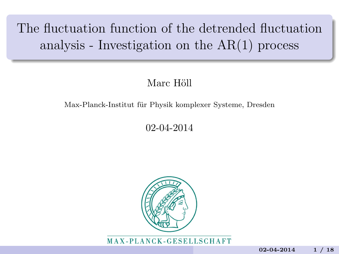# The fluctuation function of the detrended fluctuation analysis - Investigation on the AR(1) process

#### Marc Höll

#### Max-Planck-Institut für Physik komplexer Systeme, Dresden

#### 02-04-2014



MAX-PLANCK-GESELLSCHAFT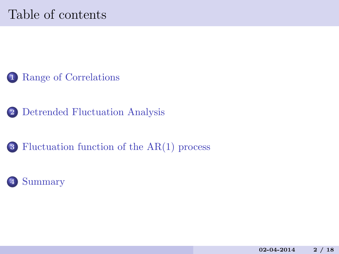# Table of contents



[Detrended Fluctuation Analysis](#page-4-0)

[Fluctuation function of the AR\(1\) process](#page-14-0)

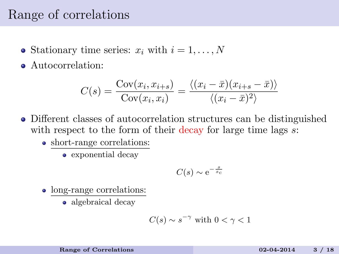## <span id="page-2-0"></span>Range of correlations

- Stationary time series:  $x_i$  with  $i = 1, \ldots, N$
- Autocorrelation:

$$
C(s) = \frac{\text{Cov}(x_i, x_{i+s})}{\text{Cov}(x_i, x_i)} = \frac{\langle (x_i - \bar{x})(x_{i+s} - \bar{x}) \rangle}{\langle (x_i - \bar{x})^2 \rangle}
$$

- Different classes of autocorrelation structures can be distinguished with respect to the form of their decay for large time lags  $s$ .
	- short-range correlations:
		- exponential decay

$$
C(s) \sim e^{-\frac{s}{s_c}}
$$

- long-range correlations:
	- algebraical decay

$$
C(s) \sim s^{-\gamma}
$$
 with  $0 < \gamma < 1$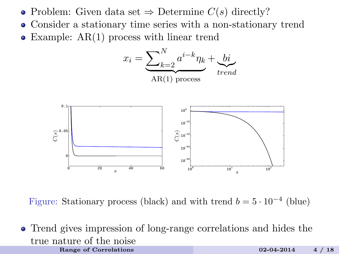- Problem: Given data set  $\Rightarrow$  Determine  $C(s)$  directly?
- Consider a stationary time series with a non-stationary trend
- Example: AR(1) process with linear trend



Figure: Stationary process (black) and with trend  $b = 5 \cdot 10^{-4}$  (blue)

Trend gives impression of long-range correlations and hides the true nature of the noise [Range of Correlations](#page-2-0) 02-04-2014 4 / 18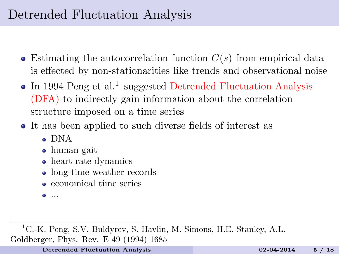# <span id="page-4-0"></span>Detrended Fluctuation Analysis

- $\bullet$  Estimating the autocorrelation function  $C(s)$  from empirical data is effected by non-stationarities like trends and observational noise
- In 1994 Peng et al.<sup>1</sup> suggested Detrended Fluctuation Analysis (DFA) to indirectly gain information about the correlation structure imposed on a time series
- It has been applied to such diverse fields of interest as
	- DNA
	- human gait
	- heart rate dynamics
	- long-time weather records
	- economical time series
	- ...

<sup>1</sup>C.-K. Peng, S.V. Buldyrev, S. Havlin, M. Simons, H.E. Stanley, A.L. Goldberger, Phys. Rev. E 49 (1994) 1685

[Detrended Fluctuation Analysis](#page-4-0) 02-04-2014 5 / 18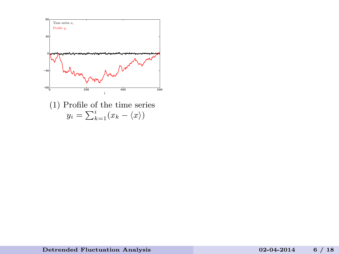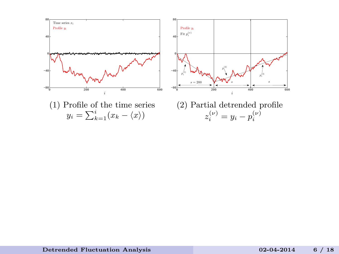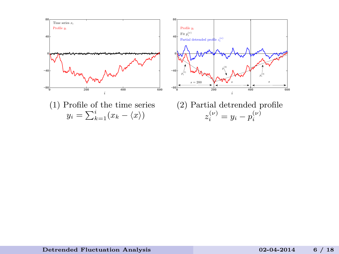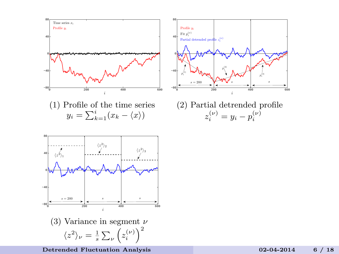

[Detrended Fluctuation Analysis](#page-4-0) 02-04-2014 6 / 18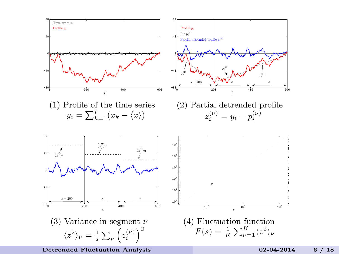

[Detrended Fluctuation Analysis](#page-4-0) 02-04-2014 6 / 18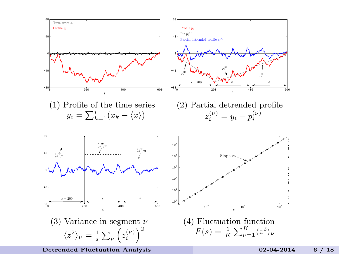

[Detrended Fluctuation Analysis](#page-4-0) 02-04-2014 6 / 18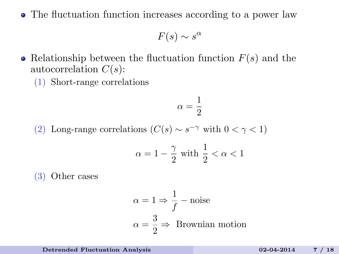The fluctuation function increases according to a power law

 $F(s) \sim s^{\alpha}$ 

- Relationship between the fluctuation function  $F(s)$  and the autocorrelation  $C(s)$ :
	- (1) Short-range correlations

$$
\alpha = \frac{1}{2}
$$

(2) Long-range correlations  $(C(s) \sim s^{-\gamma}$  with  $0 < \gamma < 1$ )

$$
\alpha = 1 - \frac{\gamma}{2} \text{ with } \frac{1}{2} < \alpha < 1
$$

(3) Other cases

$$
\alpha = 1 \Rightarrow \frac{1}{f} - \text{noise}
$$

$$
\alpha = \frac{3}{2} \Rightarrow \text{Brownian motion}
$$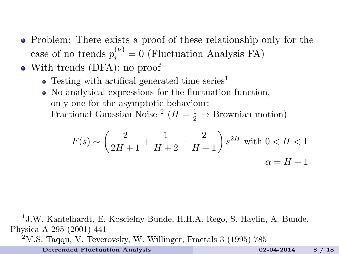- Problem: There exists a proof of these relationship only for the case of no trends  $p_i^{(\nu)} = 0$  (Fluctuation Analysis FA)
- With trends (DFA): no proof
	- $\bullet$  Testing with artifical generated time series<sup>1</sup>
	- No analytical expressions for the fluctuation function, only one for the asymptotic behaviour: Fractional Gaussian Noise<sup>2</sup> ( $H = \frac{1}{2} \rightarrow$  Brownian motion)

$$
F(s) \sim \left(\frac{2}{2H+1} + \frac{1}{H+2} - \frac{2}{H+1}\right) s^{2H} \text{ with } 0 < H < 1
$$
\n
$$
\alpha = H+1
$$

<sup>1</sup> J.W. Kantelhardt, E. Koscielny-Bunde, H.H.A. Rego, S. Havlin, A. Bunde, Physica A 295 (2001) 441

 $2<sup>2</sup>$ M.S. Taqqu, V. Teverovsky, W. Willinger, Fractals 3 (1995) 785

[Detrended Fluctuation Analysis](#page-4-0) 02-04-2014 8 / 18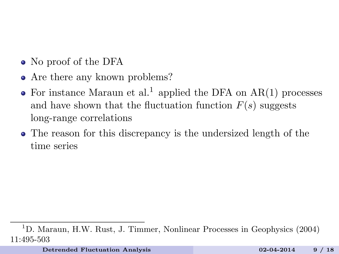- No proof of the DFA
- Are there any known problems?
- For instance Maraun et al.<sup>1</sup> applied the DFA on  $AR(1)$  processes and have shown that the fluctuation function  $F(s)$  suggests long-range correlations
- The reason for this discrepancy is the undersized length of the time series

<sup>1</sup>D. Maraun, H.W. Rust, J. Timmer, Nonlinear Processes in Geophysics (2004) 11:495-503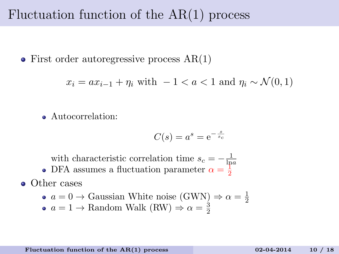## <span id="page-14-0"></span>Fluctuation function of the AR(1) process

• First order autoregressive process  $AR(1)$ 

$$
x_i = ax_{i-1} + \eta_i \text{ with } -1 < a < 1 \text{ and } \eta_i \sim \mathcal{N}(0, 1)
$$

Autocorrelation:

$$
C(s) = a^s = e^{-\frac{s}{s_c}}
$$

with characteristic correlation time  $s_c = -\frac{1}{\ln a}$ 

DFA assumes a fluctuation parameter  $\alpha = \frac{1}{2}$ 

**o** Other cases

• 
$$
a = 0 \rightarrow
$$
 Gaussian White noise (GWN) $\Rightarrow \alpha = \frac{1}{2}$ 

 $a = 1 \rightarrow$  Random Walk (RW)  $\Rightarrow \alpha = \frac{3}{2}$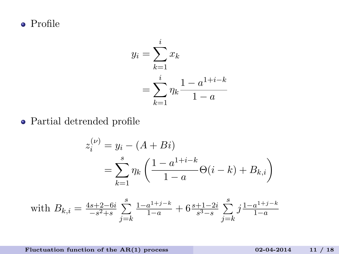Profile

$$
y_i = \sum_{k=1}^i x_k
$$
  
= 
$$
\sum_{k=1}^i \eta_k \frac{1 - a^{1+i-k}}{1 - a}
$$

Partial detrended profile

$$
z_i^{(\nu)} = y_i - (A + Bi)
$$
  
= 
$$
\sum_{k=1}^s \eta_k \left( \frac{1 - a^{1+i-k}}{1 - a} \Theta(i - k) + B_{k,i} \right)
$$

with 
$$
B_{k,i} = \frac{4s+2-6i}{-s^2+s} \sum_{j=k}^{s} \frac{1-a^{1+j-k}}{1-a} + 6 \frac{s+1-2i}{s^3-s} \sum_{j=k}^{s} j \frac{1-a^{1+j-k}}{1-a}
$$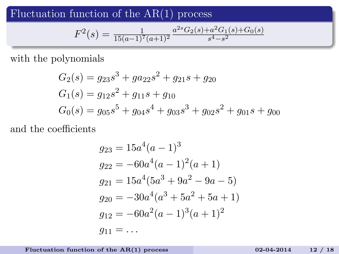Fluctuation function of the  $AR(1)$  process

$$
F^{2}(s) = \frac{1}{15(a-1)^{7}(a+1)^{2}} \frac{a^{2s} G_{2}(s) + a^{2} G_{1}(s) + G_{0}(s)}{s^{4} - s^{2}}
$$

with the polynomials

$$
G_2(s) = g_{23}s^3 + ga_{22}s^2 + g_{21}s + g_{20}
$$
  
\n
$$
G_1(s) = g_{12}s^2 + g_{11}s + g_{10}
$$
  
\n
$$
G_0(s) = g_{05}s^5 + g_{04}s^4 + g_{03}s^3 + g_{02}s^2 + g_{01}s + g_{00}
$$

and the coefficients

$$
g_{23} = 15a^4(a-1)^3
$$
  
\n
$$
g_{22} = -60a^4(a-1)^2(a+1)
$$
  
\n
$$
g_{21} = 15a^4(5a^3 + 9a^2 - 9a - 5)
$$
  
\n
$$
g_{20} = -30a^4(a^3 + 5a^2 + 5a + 1)
$$
  
\n
$$
g_{12} = -60a^2(a-1)^3(a+1)^2
$$
  
\n
$$
g_{11} = \dots
$$

Fluctuation function of the  $AR(1)$  process 02-04-2014 12 / 18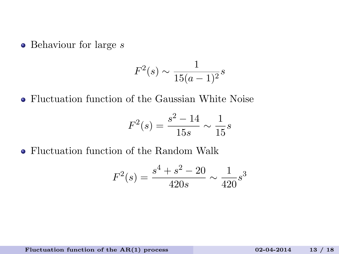$\bullet$  Behaviour for large  $s$ 

$$
F^2(s) \sim \frac{1}{15(a-1)^2} s
$$

Fluctuation function of the Gaussian White Noise

$$
F^2(s) = \frac{s^2 - 14}{15s} \sim \frac{1}{15}s
$$

Fluctuation function of the Random Walk

$$
F^{2}(s) = \frac{s^{4} + s^{2} - 20}{420s} \sim \frac{1}{420} s^{3}
$$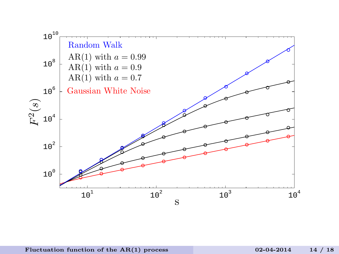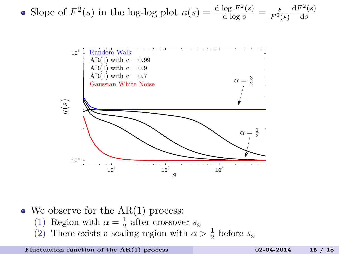• Slope of 
$$
F^2(s)
$$
 in the log-log plot  $\kappa(s) = \frac{d \log F^2(s)}{d \log s} = \frac{s}{F^2(s)} \frac{dF^2(s)}{ds}$ 



 $\bullet$  We observe for the AR(1) process:

- (1) Region with  $\alpha = \frac{1}{2}$  after crossover  $s_x$
- (2) There exists a scaling region with  $\alpha > \frac{1}{2}$  before  $s_x$

Fluctuation function of the  $AR(1)$  process 02-04-2014 15 / 18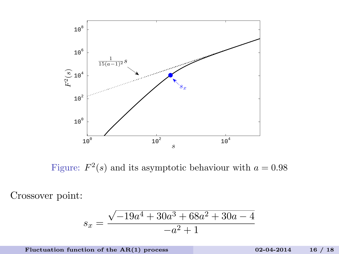

Figure:  $F^2(s)$  and its asymptotic behaviour with  $a = 0.98$ 

Crossover point:

$$
s_x = \frac{\sqrt{-19a^4 + 30a^3 + 68a^2 + 30a - 4}}{-a^2 + 1}
$$

Fluctuation function of the  $AR(1)$  process 02-04-2014 16 / 18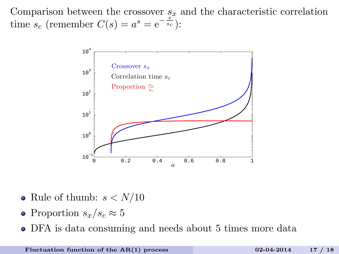Comparison between the crossover  $s_x$  and the characteristic correlation time  $s_c$  (remember  $C(s) = a^s = e^{-\frac{s}{s_c}}$ ):



- Rule of thumb:  $s < N/10$
- Proportion  $s_x/s_c \approx 5$
- DFA is data consuming and needs about 5 times more data